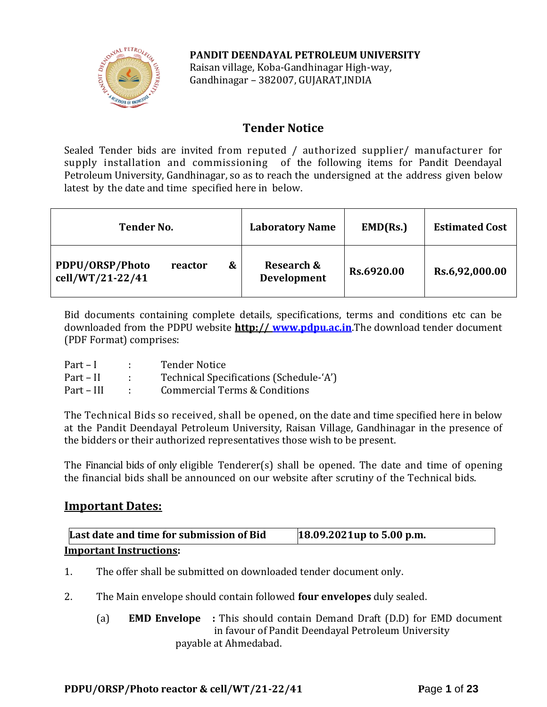

**PANDIT DEENDAYAL PETROLEUM UNIVERSITY** Raisan village, Koba-Gandhinagar High-way, Gandhinagar – 382007, GUJARAT,INDIA

# **Tender Notice**

Sealed Tender bids are invited from reputed / authorized supplier/ manufacturer for supply installation and commissioning of the following items for Pandit Deendayal Petroleum University, Gandhinagar, so as to reach the undersigned at the address given below latest by the date and time specified here in below.

| <b>Tender No.</b>                                   | <b>Laboratory Name</b>                      | EMD(Rs.)   | <b>Estimated Cost</b> |
|-----------------------------------------------------|---------------------------------------------|------------|-----------------------|
| PDPU/ORSP/Photo<br>&<br>reactor<br>cell/WT/21-22/41 | <b>Research &amp;</b><br><b>Development</b> | Rs.6920.00 | Rs.6,92,000.00        |

Bid documents containing complete details, specifications, terms and conditions etc can be downloaded from the PDPU website **http:// [www.pdpu.ac.in](http://www.pdpu.ac.in/)**.The download tender document (PDF Format) comprises:

| $Part - I$ | <b>Tender Notice</b>                    |
|------------|-----------------------------------------|
| Part – II  | Technical Specifications (Schedule-'A') |
| Part – III | Commercial Terms & Conditions           |

The Technical Bids so received, shall be opened, on the date and time specified here in below at the Pandit Deendayal Petroleum University, Raisan Village, Gandhinagar in the presence of the bidders or their authorized representatives those wish to be present.

The Financial bids of only eligible Tenderer(s) shall be opened. The date and time of opening the financial bids shall be announced on our website after scrutiny of the Technical bids.

# **Important Dates:**

| Last date and time for submission of Bid | 18.09.2021up to 5.00 p.m. |
|------------------------------------------|---------------------------|
| <b>Important Instructions:</b>           |                           |

- 1. The offer shall be submitted on downloaded tender document only.
- 2. The Main envelope should contain followed **four envelopes** duly sealed.
	- (a) **EMD Envelope :** This should contain Demand Draft (D.D) for EMD document in favour of Pandit Deendayal Petroleum University payable at Ahmedabad.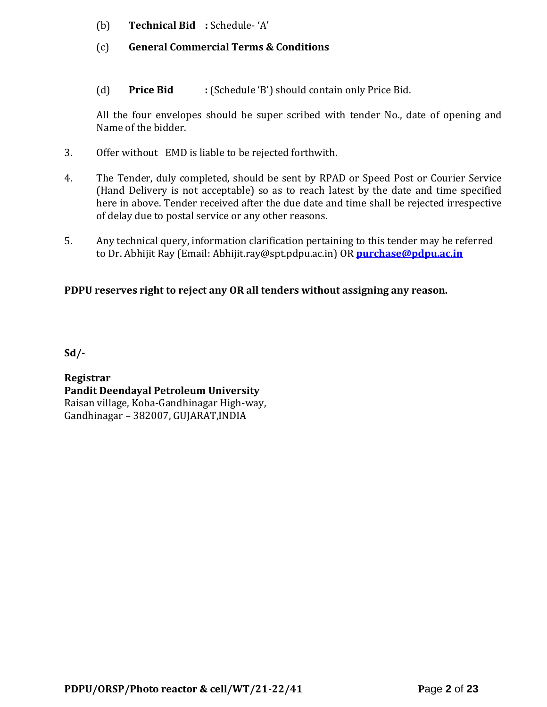- (b) **Technical Bid :** Schedule- 'A'
- (c) **General Commercial Terms & Conditions**
- (d) **Price Bid :** (Schedule 'B') should contain only Price Bid.

All the four envelopes should be super scribed with tender No., date of opening and Name of the bidder.

- 3. Offer without EMD is liable to be rejected forthwith.
- 4. The Tender, duly completed, should be sent by RPAD or Speed Post or Courier Service (Hand Delivery is not acceptable) so as to reach latest by the date and time specified here in above. Tender received after the due date and time shall be rejected irrespective of delay due to postal service or any other reasons.
- 5. Any technical query, information clarification pertaining to this tender may be referred to Dr. Abhijit Ray (Email: Abhijit.ray@spt.pdpu.ac.in) OR **[purchase@pdpu.ac.in](mailto:purchase@pdpu.ac.in)**

# **PDPU reserves right to reject any OR all tenders without assigning any reason.**

**Sd/-**

**Registrar Pandit Deendayal Petroleum University** Raisan village, Koba-Gandhinagar High-way, Gandhinagar – 382007, GUJARAT,INDIA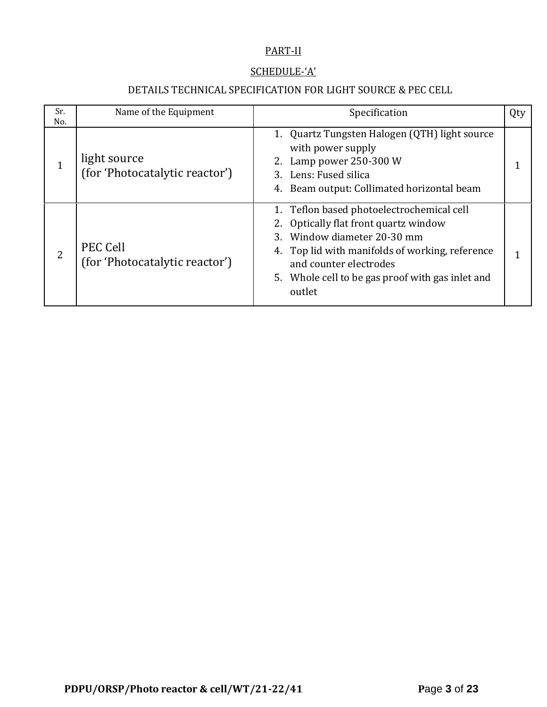# PART-II

## SCHEDULE-'A'

# DETAILS TECHNICAL SPECIFICATION FOR LIGHT SOURCE & PEC CELL

| Sr.<br>No. | Name of the Equipment                             | Specification                                                                                                                                                                                                                                                | Qty |
|------------|---------------------------------------------------|--------------------------------------------------------------------------------------------------------------------------------------------------------------------------------------------------------------------------------------------------------------|-----|
|            | light source<br>(for 'Photocatalytic reactor')    | 1. Quartz Tungsten Halogen (QTH) light source<br>with power supply<br>2. Lamp power 250-300 W<br>3. Lens: Fused silica<br>4. Beam output: Collimated horizontal beam                                                                                         |     |
| 2          | <b>PEC Cell</b><br>(for 'Photocatalytic reactor') | 1. Teflon based photoelectrochemical cell<br>2. Optically flat front quartz window<br>3. Window diameter 20-30 mm<br>4. Top lid with manifolds of working, reference<br>and counter electrodes<br>5. Whole cell to be gas proof with gas inlet and<br>outlet |     |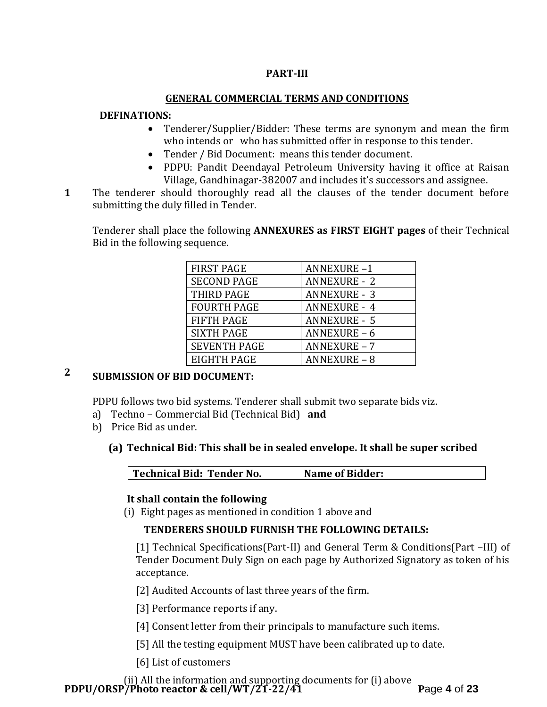## **PART-III**

#### **GENERAL COMMERCIAL TERMS AND CONDITIONS**

#### **DEFINATIONS:**

- Tenderer/Supplier/Bidder: These terms are synonym and mean the firm who intends or who has submitted offer in response to this tender.
- Tender / Bid Document: means this tender document.
- PDPU: Pandit Deendayal Petroleum University having it office at Raisan Village, Gandhinagar-382007 and includes it's successors and assignee.
- **1**1. The tenderer should thoroughly read all the clauses of the tender document before submitting the duly filled in Tender.

Tenderer shall place the following **ANNEXURES as FIRST EIGHT pages** of their Technical Bid in the following sequence.

| <b>FIRST PAGE</b>   | <b>ANNEXURE-1</b>   |
|---------------------|---------------------|
| <b>SECOND PAGE</b>  | <b>ANNEXURE - 2</b> |
| THIRD PAGE          | <b>ANNEXURE - 3</b> |
| <b>FOURTH PAGE</b>  | <b>ANNEXURE - 4</b> |
| <b>FIFTH PAGE</b>   | <b>ANNEXURE - 5</b> |
| <b>SIXTH PAGE</b>   | <b>ANNEXURE - 6</b> |
| <b>SEVENTH PAGE</b> | <b>ANNEXURE - 7</b> |
| EIGHTH PAGE         | <b>ANNEXURE - 8</b> |

# **2 SUBMISSION OF BID DOCUMENT:**

PDPU follows two bid systems. Tenderer shall submit two separate bids viz.

- a) Techno Commercial Bid (Technical Bid) **and**
- b) Price Bid as under.
	- **(a) Technical Bid: This shall be in sealed envelope. It shall be super scribed**

**Technical Bid: Tender No. Name of Bidder:**

#### **It shall contain the following**

(i) Eight pages as mentioned in condition 1 above and

#### **TENDERERS SHOULD FURNISH THE FOLLOWING DETAILS:**

[1] Technical Specifications(Part-II) and General Term & Conditions(Part –III) of Tender Document Duly Sign on each page by Authorized Signatory as token of his acceptance.

[2] Audited Accounts of last three years of the firm.

[3] Performance reports if any.

- [4] Consent letter from their principals to manufacture such items.
- [5] All the testing equipment MUST have been calibrated up to date.

[6] List of customers

**PDPU/ORSP/Photo reactor & cell/WT/21-22/41 P**age **4** of **23** (ii) All the information and supporting documents for (i) above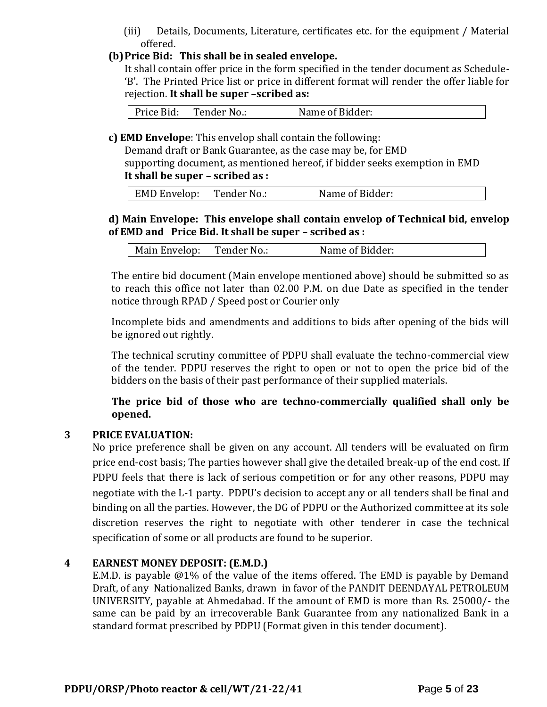(iii) Details, Documents, Literature, certificates etc. for the equipment / Material offered.

#### **(b)Price Bid: This shall be in sealed envelope.**

It shall contain offer price in the form specified in the tender document as Schedule- 'B'. The Printed Price list or price in different format will render the offer liable for rejection. **It shall be super –scribed as:**

| Price Bid: | Tender No.: | Name of Bidder: |
|------------|-------------|-----------------|
|            |             |                 |

**c) EMD Envelope**: This envelop shall contain the following:

Demand draft or Bank Guarantee, as the case may be, for EMD supporting document, as mentioned hereof, if bidder seeks exemption in EMD

#### **It shall be super – scribed as :**

| EMD Envelop: | Tender No.: | Name of Bidder: |  |
|--------------|-------------|-----------------|--|
|              |             |                 |  |

#### **d) Main Envelope: This envelope shall contain envelop of Technical bid, envelop of EMD and Price Bid. It shall be super – scribed as :**

| Main Envelop:<br>Tender No.: | Name of Bidder: |  |
|------------------------------|-----------------|--|
|------------------------------|-----------------|--|

The entire bid document (Main envelope mentioned above) should be submitted so as to reach this office not later than 02.00 P.M. on due Date as specified in the tender notice through RPAD / Speed post or Courier only

Incomplete bids and amendments and additions to bids after opening of the bids will be ignored out rightly.

The technical scrutiny committee of PDPU shall evaluate the techno-commercial view of the tender. PDPU reserves the right to open or not to open the price bid of the bidders on the basis of their past performance of their supplied materials.

**The price bid of those who are techno-commercially qualified shall only be opened.** 

#### **3 PRICE EVALUATION:**

No price preference shall be given on any account. All tenders will be evaluated on firm price end-cost basis; The parties however shall give the detailed break-up of the end cost. If PDPU feels that there is lack of serious competition or for any other reasons, PDPU may negotiate with the L-1 party. PDPU's decision to accept any or all tenders shall be final and binding on all the parties. However, the DG of PDPU or the Authorized committee at its sole discretion reserves the right to negotiate with other tenderer in case the technical specification of some or all products are found to be superior.

#### **4 EARNEST MONEY DEPOSIT: (E.M.D.)**

E.M.D. is payable @1% of the value of the items offered. The EMD is payable by Demand Draft, of any Nationalized Banks, drawn in favor of the PANDIT DEENDAYAL PETROLEUM UNIVERSITY, payable at Ahmedabad. If the amount of EMD is more than Rs. 25000/- the same can be paid by an irrecoverable Bank Guarantee from any nationalized Bank in a standard format prescribed by PDPU (Format given in this tender document).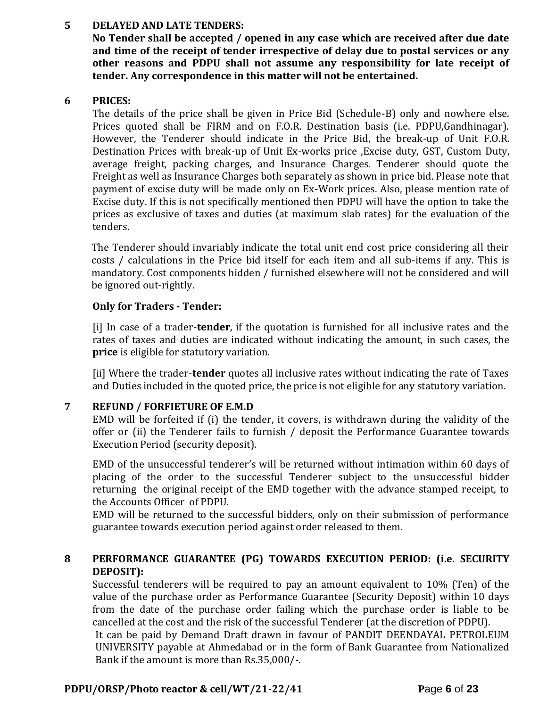#### **5 DELAYED AND LATE TENDERS:**

**No Tender shall be accepted / opened in any case which are received after due date and time of the receipt of tender irrespective of delay due to postal services or any other reasons and PDPU shall not assume any responsibility for late receipt of tender. Any correspondence in this matter will not be entertained.**

## **6 PRICES:**

The details of the price shall be given in Price Bid (Schedule-B) only and nowhere else. Prices quoted shall be FIRM and on F.O.R. Destination basis (i.e. PDPU,Gandhinagar). However, the Tenderer should indicate in the Price Bid, the break-up of Unit F.O.R. Destination Prices with break-up of Unit Ex-works price ,Excise duty, GST, Custom Duty, average freight, packing charges, and Insurance Charges. Tenderer should quote the Freight as well as Insurance Charges both separately as shown in price bid. Please note that payment of excise duty will be made only on Ex-Work prices. Also, please mention rate of Excise duty. If this is not specifically mentioned then PDPU will have the option to take the prices as exclusive of taxes and duties (at maximum slab rates) for the evaluation of the tenders.

The Tenderer should invariably indicate the total unit end cost price considering all their costs / calculations in the Price bid itself for each item and all sub-items if any. This is mandatory. Cost components hidden / furnished elsewhere will not be considered and will be ignored out-rightly.

## **Only for Traders - Tender:**

[i] In case of a trader-**tender**, if the quotation is furnished for all inclusive rates and the rates of taxes and duties are indicated without indicating the amount, in such cases, the **price** is eligible for statutory variation.

[ii] Where the trader-**tender** quotes all inclusive rates without indicating the rate of Taxes and Duties included in the quoted price, the price is not eligible for any statutory variation.

## **7 REFUND / FORFIETURE OF E.M.D**

EMD will be forfeited if (i) the tender, it covers, is withdrawn during the validity of the offer or (ii) the Tenderer fails to furnish / deposit the Performance Guarantee towards Execution Period (security deposit).

EMD of the unsuccessful tenderer's will be returned without intimation within 60 days of placing of the order to the successful Tenderer subject to the unsuccessful bidder returning the original receipt of the EMD together with the advance stamped receipt, to the Accounts Officer of PDPU.

EMD will be returned to the successful bidders, only on their submission of performance guarantee towards execution period against order released to them.

## **8 PERFORMANCE GUARANTEE (PG) TOWARDS EXECUTION PERIOD: (i.e. SECURITY DEPOSIT):**

Successful tenderers will be required to pay an amount equivalent to 10% (Ten) of the value of the purchase order as Performance Guarantee (Security Deposit) within 10 days from the date of the purchase order failing which the purchase order is liable to be cancelled at the cost and the risk of the successful Tenderer (at the discretion of PDPU).

It can be paid by Demand Draft drawn in favour of PANDIT DEENDAYAL PETROLEUM UNIVERSITY payable at Ahmedabad or in the form of Bank Guarantee from Nationalized Bank if the amount is more than Rs.35,000/-.

#### **PDPU/ORSP/Photo reactor & cell/WT/21-22/41 P**age **6** of **23**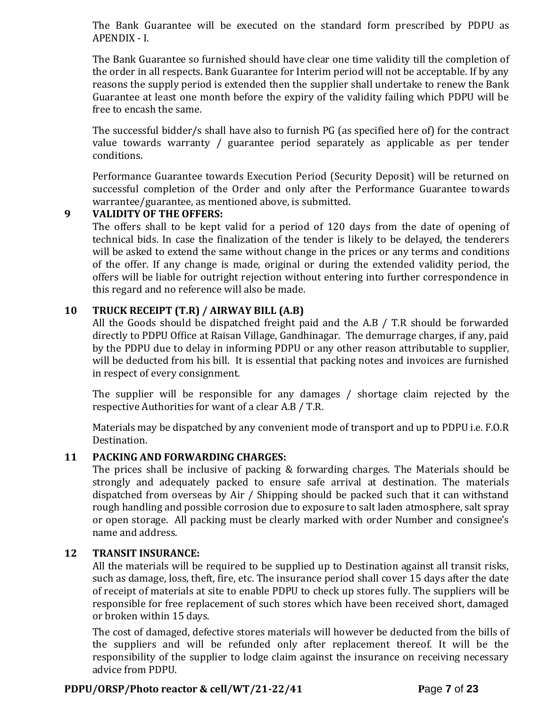The Bank Guarantee will be executed on the standard form prescribed by PDPU as APENDIX - I.

The Bank Guarantee so furnished should have clear one time validity till the completion of the order in all respects. Bank Guarantee for Interim period will not be acceptable. If by any reasons the supply period is extended then the supplier shall undertake to renew the Bank Guarantee at least one month before the expiry of the validity failing which PDPU will be free to encash the same.

The successful bidder/s shall have also to furnish PG (as specified here of) for the contract value towards warranty / guarantee period separately as applicable as per tender conditions.

Performance Guarantee towards Execution Period (Security Deposit) will be returned on successful completion of the Order and only after the Performance Guarantee towards warrantee/guarantee, as mentioned above, is submitted.

## **9 VALIDITY OF THE OFFERS:**

The offers shall to be kept valid for a period of 120 days from the date of opening of technical bids. In case the finalization of the tender is likely to be delayed, the tenderers will be asked to extend the same without change in the prices or any terms and conditions of the offer. If any change is made, original or during the extended validity period, the offers will be liable for outright rejection without entering into further correspondence in this regard and no reference will also be made.

## **10 TRUCK RECEIPT (T.R) / AIRWAY BILL (A.B)**

All the Goods should be dispatched freight paid and the A.B / T.R should be forwarded directly to PDPU Office at Raisan Village, Gandhinagar. The demurrage charges, if any, paid by the PDPU due to delay in informing PDPU or any other reason attributable to supplier, will be deducted from his bill. It is essential that packing notes and invoices are furnished in respect of every consignment.

The supplier will be responsible for any damages / shortage claim rejected by the respective Authorities for want of a clear A.B / T.R.

Materials may be dispatched by any convenient mode of transport and up to PDPU i.e. F.O.R Destination.

#### **11 PACKING AND FORWARDING CHARGES:**

The prices shall be inclusive of packing & forwarding charges. The Materials should be strongly and adequately packed to ensure safe arrival at destination. The materials dispatched from overseas by Air / Shipping should be packed such that it can withstand rough handling and possible corrosion due to exposure to salt laden atmosphere, salt spray or open storage. All packing must be clearly marked with order Number and consignee's name and address.

#### **12 TRANSIT INSURANCE:**

All the materials will be required to be supplied up to Destination against all transit risks, such as damage, loss, theft, fire, etc. The insurance period shall cover 15 days after the date of receipt of materials at site to enable PDPU to check up stores fully. The suppliers will be responsible for free replacement of such stores which have been received short, damaged or broken within 15 days.

The cost of damaged, defective stores materials will however be deducted from the bills of the suppliers and will be refunded only after replacement thereof. It will be the responsibility of the supplier to lodge claim against the insurance on receiving necessary advice from PDPU.

#### **PDPU/ORSP/Photo reactor & cell/WT/21-22/41 P**age **7** of **23**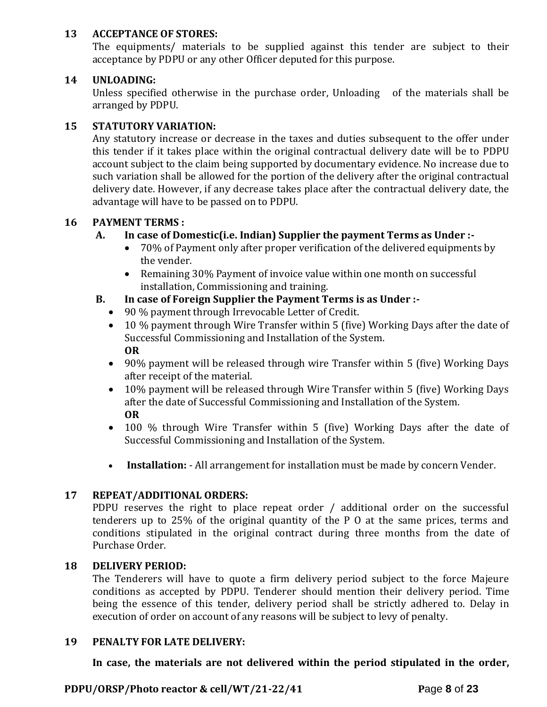### **13 ACCEPTANCE OF STORES:**

The equipments/ materials to be supplied against this tender are subject to their acceptance by PDPU or any other Officer deputed for this purpose.

## **14 UNLOADING:**

Unless specified otherwise in the purchase order, Unloading of the materials shall be arranged by PDPU.

## **15 STATUTORY VARIATION:**

Any statutory increase or decrease in the taxes and duties subsequent to the offer under this tender if it takes place within the original contractual delivery date will be to PDPU account subject to the claim being supported by documentary evidence. No increase due to such variation shall be allowed for the portion of the delivery after the original contractual delivery date. However, if any decrease takes place after the contractual delivery date, the advantage will have to be passed on to PDPU.

## **16 PAYMENT TERMS :**

## **A. In case of Domestic(i.e. Indian) Supplier the payment Terms as Under :-**

- 70% of Payment only after proper verification of the delivered equipments by the vender.
- Remaining 30% Payment of invoice value within one month on successful installation, Commissioning and training.
- **B. In case of Foreign Supplier the Payment Terms is as Under :-**
	- 90 % payment through Irrevocable Letter of Credit.
	- 10 % payment through Wire Transfer within 5 (five) Working Days after the date of Successful Commissioning and Installation of the System. **OR**
	- 90% payment will be released through wire Transfer within 5 (five) Working Days after receipt of the material.
	- 10% payment will be released through Wire Transfer within 5 (five) Working Days after the date of Successful Commissioning and Installation of the System. **OR**
	- 100 % through Wire Transfer within 5 (five) Working Days after the date of Successful Commissioning and Installation of the System.
	- **Installation:** All arrangement for installation must be made by concern Vender.

#### **17 REPEAT/ADDITIONAL ORDERS:**

PDPU reserves the right to place repeat order / additional order on the successful tenderers up to 25% of the original quantity of the P O at the same prices, terms and conditions stipulated in the original contract during three months from the date of Purchase Order.

#### **18 DELIVERY PERIOD:**

The Tenderers will have to quote a firm delivery period subject to the force Majeure conditions as accepted by PDPU. Tenderer should mention their delivery period. Time being the essence of this tender, delivery period shall be strictly adhered to. Delay in execution of order on account of any reasons will be subject to levy of penalty.

#### **19 PENALTY FOR LATE DELIVERY:**

**In case, the materials are not delivered within the period stipulated in the order,** 

**PDPU/ORSP/Photo reactor & cell/WT/21-22/41 P**age **8** of **23**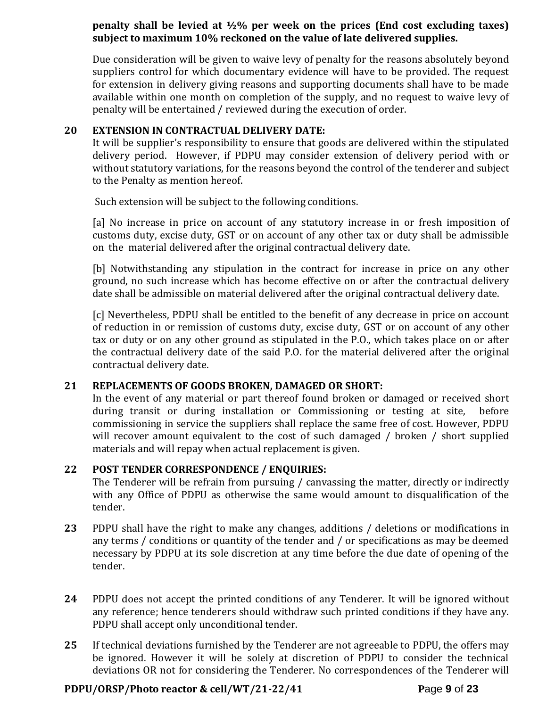#### **penalty shall be levied at ½% per week on the prices (End cost excluding taxes) subject to maximum 10% reckoned on the value of late delivered supplies.**

Due consideration will be given to waive levy of penalty for the reasons absolutely beyond suppliers control for which documentary evidence will have to be provided. The request for extension in delivery giving reasons and supporting documents shall have to be made available within one month on completion of the supply, and no request to waive levy of penalty will be entertained / reviewed during the execution of order.

### **20 EXTENSION IN CONTRACTUAL DELIVERY DATE:**

It will be supplier's responsibility to ensure that goods are delivered within the stipulated delivery period. However, if PDPU may consider extension of delivery period with or without statutory variations, for the reasons beyond the control of the tenderer and subject to the Penalty as mention hereof.

Such extension will be subject to the following conditions.

[a] No increase in price on account of any statutory increase in or fresh imposition of customs duty, excise duty, GST or on account of any other tax or duty shall be admissible on the material delivered after the original contractual delivery date.

[b] Notwithstanding any stipulation in the contract for increase in price on any other ground, no such increase which has become effective on or after the contractual delivery date shall be admissible on material delivered after the original contractual delivery date.

[c] Nevertheless, PDPU shall be entitled to the benefit of any decrease in price on account of reduction in or remission of customs duty, excise duty, GST or on account of any other tax or duty or on any other ground as stipulated in the P.O., which takes place on or after the contractual delivery date of the said P.O. for the material delivered after the original contractual delivery date.

#### **21 REPLACEMENTS OF GOODS BROKEN, DAMAGED OR SHORT:**

In the event of any material or part thereof found broken or damaged or received short during transit or during installation or Commissioning or testing at site, before commissioning in service the suppliers shall replace the same free of cost. However, PDPU will recover amount equivalent to the cost of such damaged / broken / short supplied materials and will repay when actual replacement is given.

#### **22 POST TENDER CORRESPONDENCE / ENQUIRIES:**

The Tenderer will be refrain from pursuing / canvassing the matter, directly or indirectly with any Office of PDPU as otherwise the same would amount to disqualification of the tender.

- **23** PDPU shall have the right to make any changes, additions / deletions or modifications in any terms / conditions or quantity of the tender and / or specifications as may be deemed necessary by PDPU at its sole discretion at any time before the due date of opening of the tender.
- **24** PDPU does not accept the printed conditions of any Tenderer. It will be ignored without any reference; hence tenderers should withdraw such printed conditions if they have any. PDPU shall accept only unconditional tender.
- **25** If technical deviations furnished by the Tenderer are not agreeable to PDPU, the offers may be ignored. However it will be solely at discretion of PDPU to consider the technical deviations OR not for considering the Tenderer. No correspondences of the Tenderer will

#### **PDPU/ORSP/Photo reactor & cell/WT/21-22/41 P**age **9** of **23**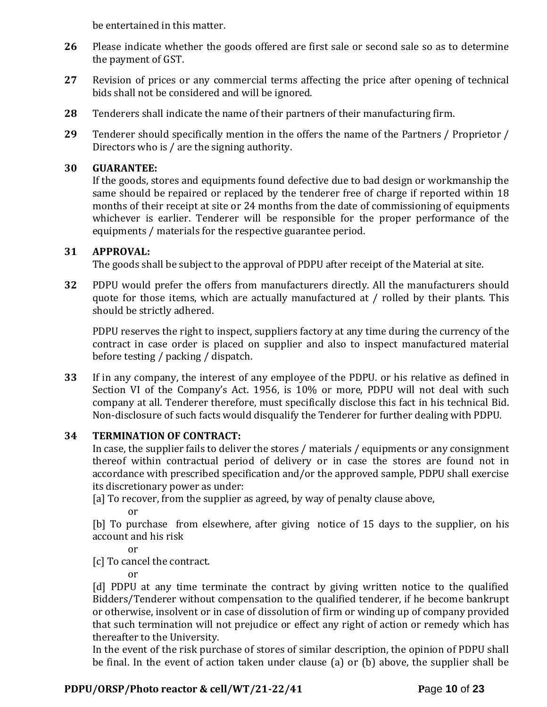be entertained in this matter.

- **26** Please indicate whether the goods offered are first sale or second sale so as to determine the payment of GST.
- **27** Revision of prices or any commercial terms affecting the price after opening of technical bids shall not be considered and will be ignored.
- **28** Tenderers shall indicate the name of their partners of their manufacturing firm.
- **29** Tenderer should specifically mention in the offers the name of the Partners / Proprietor / Directors who is / are the signing authority.

## **30 GUARANTEE:**

If the goods, stores and equipments found defective due to bad design or workmanship the same should be repaired or replaced by the tenderer free of charge if reported within 18 months of their receipt at site or 24 months from the date of commissioning of equipments whichever is earlier. Tenderer will be responsible for the proper performance of the equipments / materials for the respective guarantee period.

## **31 APPROVAL:**

The goods shall be subject to the approval of PDPU after receipt of the Material at site.

**32** PDPU would prefer the offers from manufacturers directly. All the manufacturers should quote for those items, which are actually manufactured at / rolled by their plants. This should be strictly adhered.

PDPU reserves the right to inspect, suppliers factory at any time during the currency of the contract in case order is placed on supplier and also to inspect manufactured material before testing / packing / dispatch.

**33** If in any company, the interest of any employee of the PDPU. or his relative as defined in Section VI of the Company's Act. 1956, is 10% or more, PDPU will not deal with such company at all. Tenderer therefore, must specifically disclose this fact in his technical Bid. Non-disclosure of such facts would disqualify the Tenderer for further dealing with PDPU.

## **34 TERMINATION OF CONTRACT:**

In case, the supplier fails to deliver the stores / materials / equipments or any consignment thereof within contractual period of delivery or in case the stores are found not in accordance with prescribed specification and/or the approved sample, PDPU shall exercise its discretionary power as under:

[a] To recover, from the supplier as agreed, by way of penalty clause above,

or

[b] To purchase from elsewhere, after giving notice of 15 days to the supplier, on his account and his risk

or

[c] To cancel the contract.

or

[d] PDPU at any time terminate the contract by giving written notice to the qualified Bidders/Tenderer without compensation to the qualified tenderer, if he become bankrupt or otherwise, insolvent or in case of dissolution of firm or winding up of company provided that such termination will not prejudice or effect any right of action or remedy which has thereafter to the University.

In the event of the risk purchase of stores of similar description, the opinion of PDPU shall be final. In the event of action taken under clause (a) or (b) above, the supplier shall be

# **PDPU/ORSP/Photo reactor & cell/WT/21-22/41 P**age **10** of **23**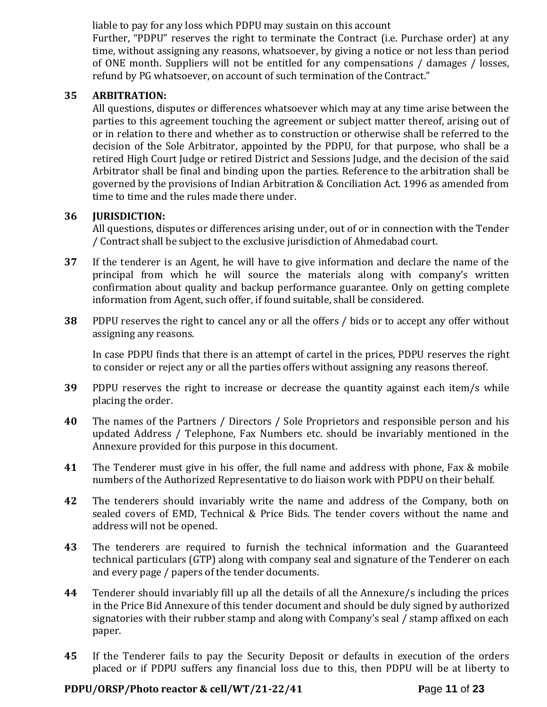liable to pay for any loss which PDPU may sustain on this account

Further, "PDPU" reserves the right to terminate the Contract (i.e. Purchase order) at any time, without assigning any reasons, whatsoever, by giving a notice or not less than period of ONE month. Suppliers will not be entitled for any compensations / damages / losses, refund by PG whatsoever, on account of such termination of the Contract."

### **35 ARBITRATION:**

All questions, disputes or differences whatsoever which may at any time arise between the parties to this agreement touching the agreement or subject matter thereof, arising out of or in relation to there and whether as to construction or otherwise shall be referred to the decision of the Sole Arbitrator, appointed by the PDPU, for that purpose, who shall be a retired High Court Judge or retired District and Sessions Judge, and the decision of the said Arbitrator shall be final and binding upon the parties. Reference to the arbitration shall be governed by the provisions of Indian Arbitration & Conciliation Act. 1996 as amended from time to time and the rules made there under.

## **36 JURISDICTION:**

All questions, disputes or differences arising under, out of or in connection with the Tender / Contract shall be subject to the exclusive jurisdiction of Ahmedabad court.

- **37** If the tenderer is an Agent, he will have to give information and declare the name of the principal from which he will source the materials along with company's written confirmation about quality and backup performance guarantee. Only on getting complete information from Agent, such offer, if found suitable, shall be considered.
- **38** PDPU reserves the right to cancel any or all the offers / bids or to accept any offer without assigning any reasons.

In case PDPU finds that there is an attempt of cartel in the prices, PDPU reserves the right to consider or reject any or all the parties offers without assigning any reasons thereof.

- **39** PDPU reserves the right to increase or decrease the quantity against each item/s while placing the order.
- **40** The names of the Partners / Directors / Sole Proprietors and responsible person and his updated Address / Telephone, Fax Numbers etc. should be invariably mentioned in the Annexure provided for this purpose in this document.
- **41** The Tenderer must give in his offer, the full name and address with phone, Fax & mobile numbers of the Authorized Representative to do liaison work with PDPU on their behalf.
- **42** The tenderers should invariably write the name and address of the Company, both on sealed covers of EMD, Technical & Price Bids. The tender covers without the name and address will not be opened.
- **43** The tenderers are required to furnish the technical information and the Guaranteed technical particulars (GTP) along with company seal and signature of the Tenderer on each and every page / papers of the tender documents.
- **44** Tenderer should invariably fill up all the details of all the Annexure/s including the prices in the Price Bid Annexure of this tender document and should be duly signed by authorized signatories with their rubber stamp and along with Company's seal / stamp affixed on each paper.
- **45** If the Tenderer fails to pay the Security Deposit or defaults in execution of the orders placed or if PDPU suffers any financial loss due to this, then PDPU will be at liberty to

#### **PDPU/ORSP/Photo reactor & cell/WT/21-22/41 P**age **11** of **23**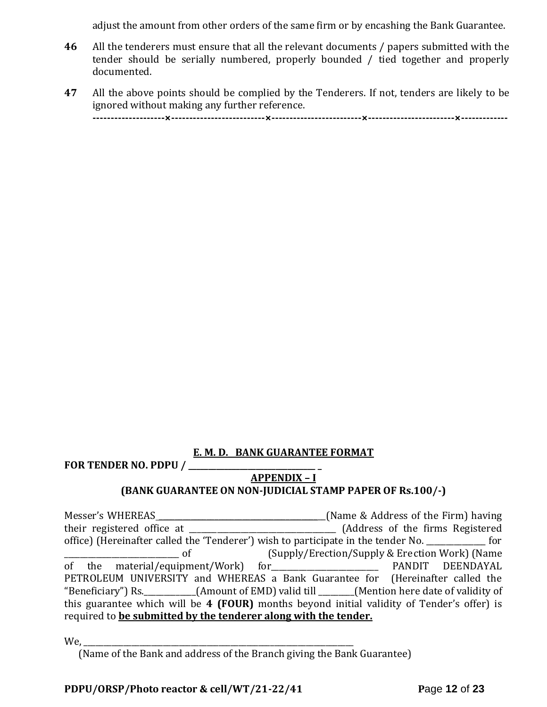adjust the amount from other orders of the same firm or by encashing the Bank Guarantee.

- **46** All the tenderers must ensure that all the relevant documents / papers submitted with the tender should be serially numbered, properly bounded / tied together and properly documented.
- **47** All the above points should be complied by the Tenderers. If not, tenders are likely to be ignored without making any further reference. **--------------------×--------------------------×-------------------------×------------------------×-------------**

# **E. M. D. BANK GUARANTEE FORMAT**

**FOR TENDER NO. PDPU / \_\_\_\_\_\_\_\_\_\_\_\_\_\_\_\_\_\_\_\_\_\_\_\_\_\_\_\_\_\_\_\_ \_**

#### **APPENDIX – I**

#### **(BANK GUARANTEE ON NON-JUDICIAL STAMP PAPER OF Rs.100/-)**

Messer's WHEREAS \_\_\_\_\_\_\_\_\_\_\_\_\_\_\_\_\_\_\_\_\_\_\_\_\_\_\_\_\_\_\_\_\_\_\_\_\_\_\_\_\_\_(Name & Address of the Firm) having their registered office at \_\_\_\_\_\_\_\_\_\_\_\_\_\_\_\_\_\_\_\_\_\_\_\_\_\_\_\_\_\_\_\_\_\_\_\_\_ (Address of the firms Registered office) (Hereinafter called the 'Tenderer') wish to participate in the tender No.  $\qquad \qquad$  for \_\_\_\_\_\_\_\_\_\_\_\_\_\_\_\_\_\_\_\_\_\_\_\_\_\_\_\_\_ of (Supply/Erection/Supply & Erection Work) (Name of the material/equipment/Work) for\_\_\_\_\_\_\_\_\_\_\_\_\_\_\_\_\_\_\_\_\_\_\_\_\_\_\_ PANDIT DEENDAYAL PETROLEUM UNIVERSITY and WHEREAS a Bank Guarantee for (Hereinafter called the "Beneficiary") Rs.\_\_\_\_\_\_\_\_\_\_\_\_\_(Amount of EMD) valid till \_\_\_\_\_\_\_\_\_(Mention here date of validity of this guarantee which will be **4 (FOUR)** months beyond initial validity of Tender's offer) is required to **be submitted by the tenderer along with the tender.**

We, \_\_\_\_\_\_\_\_\_\_\_\_\_\_\_\_\_\_\_\_\_\_\_\_\_\_\_\_\_\_\_\_\_\_\_\_\_\_\_\_\_\_\_\_\_\_\_\_\_\_\_\_\_\_\_\_\_\_\_\_\_\_\_\_\_\_\_\_

(Name of the Bank and address of the Branch giving the Bank Guarantee)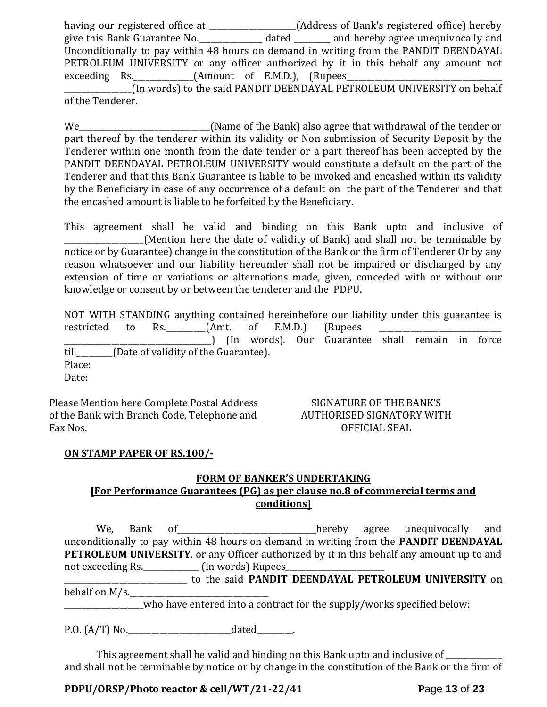having our registered office at \_\_\_\_\_\_\_\_\_\_\_\_\_\_\_\_\_\_\_\_\_\_(Address of Bank's registered office) hereby give this Bank Guarantee No.\_\_\_\_\_\_\_\_\_\_\_\_\_\_\_\_ dated \_\_\_\_\_\_\_\_\_ and hereby agree unequivocally and Unconditionally to pay within 48 hours on demand in writing from the PANDIT DEENDAYAL PETROLEUM UNIVERSITY or any officer authorized by it in this behalf any amount not exceeding Rs. \_\_\_\_\_\_\_\_\_\_\_\_\_(Amount of E.M.D.), (Rupees\_ \_\_\_\_\_\_\_\_\_\_\_\_\_\_\_\_\_(In words) to the said PANDIT DEENDAYAL PETROLEUM UNIVERSITY on behalf of the Tenderer.

We\_\_\_\_\_\_\_\_\_\_\_\_\_\_\_\_\_\_\_\_\_\_\_\_\_\_\_\_\_\_\_(Name of the Bank) also agree that withdrawal of the tender or part thereof by the tenderer within its validity or Non submission of Security Deposit by the Tenderer within one month from the date tender or a part thereof has been accepted by the PANDIT DEENDAYAL PETROLEUM UNIVERSITY would constitute a default on the part of the Tenderer and that this Bank Guarantee is liable to be invoked and encashed within its validity by the Beneficiary in case of any occurrence of a default on the part of the Tenderer and that the encashed amount is liable to be forfeited by the Beneficiary.

This agreement shall be valid and binding on this Bank upto and inclusive of \_\_\_\_\_\_\_\_\_\_\_\_\_\_\_\_\_\_\_\_(Mention here the date of validity of Bank) and shall not be terminable by notice or by Guarantee) change in the constitution of the Bank or the firm of Tenderer Or by any reason whatsoever and our liability hereunder shall not be impaired or discharged by any extension of time or variations or alternations made, given, conceded with or without our knowledge or consent by or between the tenderer and the PDPU.

NOT WITH STANDING anything contained hereinbefore our liability under this guarantee is restricted to Rs.\_\_\_\_\_\_\_\_\_\_\_(Amt. of E.M.D.) (Rupees \_\_\_\_\_\_\_\_\_\_\_\_\_\_\_\_\_\_\_\_\_\_\_\_\_\_\_\_\_\_\_\_\_\_\_\_\_) (In words). Our Guarantee shall remain in force till [Date of validity of the Guarantee). Place: Date:

Please Mention here Complete Postal Address of the Bank with Branch Code, Telephone and Fax Nos.

SIGNATURE OF THE BANK'S AUTHORISED SIGNATORY WITH OFFICIAL SEAL

#### **ON STAMP PAPER OF RS.100/-**

#### **FORM OF BANKER'S UNDERTAKING**

# **[For Performance Guarantees (PG) as per clause no.8 of commercial terms and conditions]**

We, Bank of\_\_\_\_\_\_\_\_\_\_\_\_\_\_\_\_\_\_\_\_\_\_\_\_\_\_\_\_\_\_\_\_\_\_\_hereby agree unequivocally and unconditionally to pay within 48 hours on demand in writing from the **PANDIT DEENDAYAL PETROLEUM UNIVERSITY**. or any Officer authorized by it in this behalf any amount up to and not exceeding Rs.\_\_\_\_\_\_\_\_\_\_\_\_\_\_ (in words) Rupees\_\_\_\_\_\_\_\_\_\_\_\_\_\_\_\_\_\_\_\_\_\_\_\_\_

\_\_\_\_\_\_\_\_\_\_\_\_\_\_\_\_\_\_\_\_\_\_\_\_\_\_\_\_\_\_\_ to the said **PANDIT DEENDAYAL PETROLEUM UNIVERSITY** on behalf on  $M/s$ .

who have entered into a contract for the supply/works specified below:

P.O. (A/T) No.\_\_\_\_\_\_\_\_\_\_\_\_\_\_\_\_\_\_\_\_\_\_\_\_\_\_dated\_\_\_\_\_\_\_\_\_.

This agreement shall be valid and binding on this Bank upto and inclusive of and shall not be terminable by notice or by change in the constitution of the Bank or the firm of

**PDPU/ORSP/Photo reactor & cell/WT/21-22/41 P**age **13** of **23**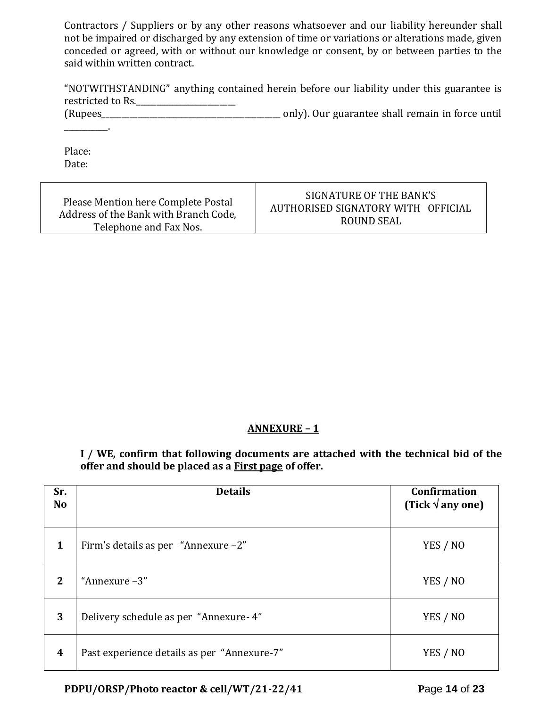Contractors / Suppliers or by any other reasons whatsoever and our liability hereunder shall not be impaired or discharged by any extension of time or variations or alterations made, given conceded or agreed, with or without our knowledge or consent, by or between parties to the said within written contract.

| "NOTWITHSTANDING" anything contained herein before our liability under this guarantee is |  |  |  |  |  |
|------------------------------------------------------------------------------------------|--|--|--|--|--|
| restricted to Rs.                                                                        |  |  |  |  |  |

(Rupees\_\_\_\_\_\_\_\_\_\_\_\_\_\_\_\_\_\_\_\_\_\_\_\_\_\_\_\_\_\_\_\_\_\_\_\_\_\_\_\_\_\_\_\_\_ only). Our guarantee shall remain in force until  $\mathcal{L}=\mathcal{L}$ 

Place: Date:

| Please Mention here Complete Postal   | SIGNATURE OF THE BANK'S            |
|---------------------------------------|------------------------------------|
| Address of the Bank with Branch Code, | AUTHORISED SIGNATORY WITH OFFICIAL |
| Telephone and Fax Nos.                | ROUND SEAL                         |

## **ANNEXURE – 1**

**I / WE, confirm that following documents are attached with the technical bid of the offer and should be placed as a First page of offer.**

| Sr.<br><b>No</b> | <b>Details</b>                              | <b>Confirmation</b><br>(Tick $\sqrt{$ any one) |
|------------------|---------------------------------------------|------------------------------------------------|
| $\mathbf{1}$     | Firm's details as per "Annexure -2"         | YES / NO                                       |
| 2                | "Annexure -3"                               | YES / NO                                       |
| 3                | Delivery schedule as per "Annexure-4"       | YES / NO                                       |
| $\boldsymbol{4}$ | Past experience details as per "Annexure-7" | YES / NO                                       |

**PDPU/ORSP/Photo reactor & cell/WT/21-22/41 P**age **14** of **23**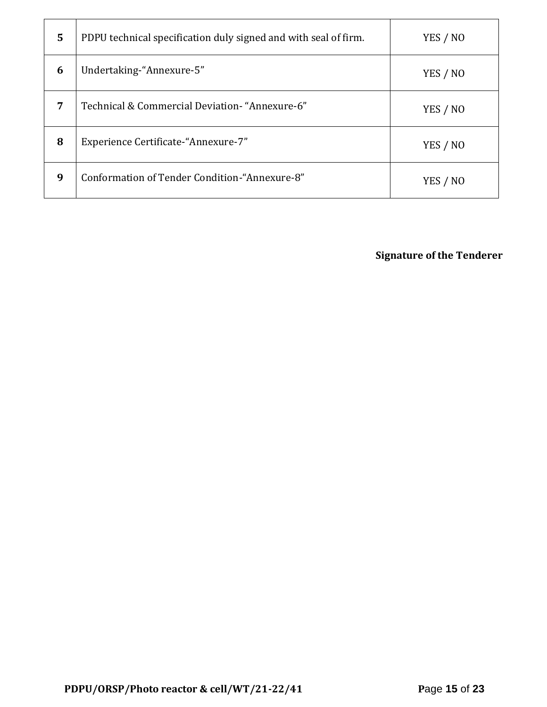| 5 | PDPU technical specification duly signed and with seal of firm. | YES / NO |
|---|-----------------------------------------------------------------|----------|
| 6 | Undertaking-"Annexure-5"                                        | YES / NO |
| 7 | Technical & Commercial Deviation- "Annexure-6"                  | YES / NO |
| 8 | Experience Certificate-"Annexure-7"                             | YES / NO |
| 9 | Conformation of Tender Condition-"Annexure-8"                   | YES / NO |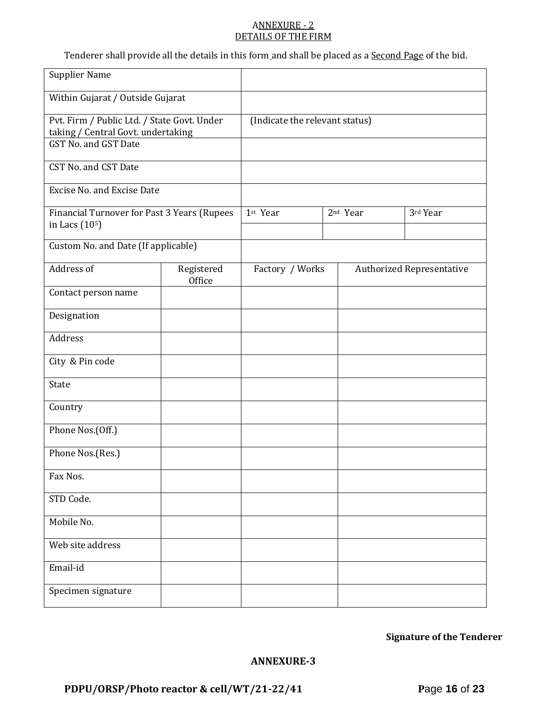#### ANNEXURE - 2 DETAILS OF THE FIRM

Tenderer shall provide all the details in this form and shall be placed as a **Second Page** of the bid.

| <b>Supplier Name</b>                                                              |                      |                                |  |                                  |          |  |
|-----------------------------------------------------------------------------------|----------------------|--------------------------------|--|----------------------------------|----------|--|
| Within Gujarat / Outside Gujarat                                                  |                      |                                |  |                                  |          |  |
| Pvt. Firm / Public Ltd. / State Govt. Under<br>taking / Central Govt. undertaking |                      | (Indicate the relevant status) |  |                                  |          |  |
| GST No. and GST Date                                                              |                      |                                |  |                                  |          |  |
| CST No. and CST Date                                                              |                      |                                |  |                                  |          |  |
| Excise No. and Excise Date                                                        |                      |                                |  |                                  |          |  |
| Financial Turnover for Past 3 Years (Rupees<br>in Lacs $(105)$                    |                      | 1st Year                       |  | 2 <sup>nd</sup> Year             | 3rd Year |  |
| Custom No. and Date (If applicable)                                               |                      |                                |  |                                  |          |  |
| Address of                                                                        | Registered<br>Office | Factory / Works                |  | <b>Authorized Representative</b> |          |  |
| Contact person name                                                               |                      |                                |  |                                  |          |  |
| Designation                                                                       |                      |                                |  |                                  |          |  |
| Address                                                                           |                      |                                |  |                                  |          |  |
| City & Pin code                                                                   |                      |                                |  |                                  |          |  |
| State                                                                             |                      |                                |  |                                  |          |  |
| Country                                                                           |                      |                                |  |                                  |          |  |
| Phone Nos.(Off.)                                                                  |                      |                                |  |                                  |          |  |
| Phone Nos.(Res.)                                                                  |                      |                                |  |                                  |          |  |
| Fax Nos.                                                                          |                      |                                |  |                                  |          |  |
| STD Code.                                                                         |                      |                                |  |                                  |          |  |
| Mobile No.                                                                        |                      |                                |  |                                  |          |  |
| Web site address                                                                  |                      |                                |  |                                  |          |  |
| Email-id                                                                          |                      |                                |  |                                  |          |  |
| Specimen signature                                                                |                      |                                |  |                                  |          |  |

**Signature of the Tenderer**

#### **ANNEXURE-3**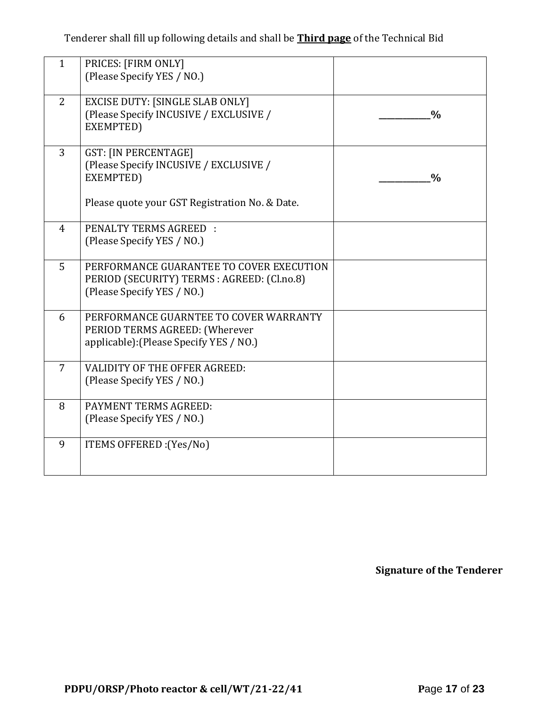Tenderer shall fill up following details and shall be **Third page** of the Technical Bid

| $\mathbf{1}$   | PRICES: [FIRM ONLY]<br>(Please Specify YES / NO.)                                                                                    |               |
|----------------|--------------------------------------------------------------------------------------------------------------------------------------|---------------|
| $\overline{2}$ | <b>EXCISE DUTY: [SINGLE SLAB ONLY]</b><br>(Please Specify INCUSIVE / EXCLUSIVE /<br>EXEMPTED)                                        | $\frac{0}{0}$ |
| 3              | <b>GST: [IN PERCENTAGE]</b><br>(Please Specify INCUSIVE / EXCLUSIVE /<br>EXEMPTED)<br>Please quote your GST Registration No. & Date. | $\frac{0}{0}$ |
| 4              | <b>PENALTY TERMS AGREED:</b><br>(Please Specify YES / NO.)                                                                           |               |
| 5              | PERFORMANCE GUARANTEE TO COVER EXECUTION<br>PERIOD (SECURITY) TERMS : AGREED: (Cl.no.8)<br>(Please Specify YES / NO.)                |               |
| 6              | PERFORMANCE GUARNTEE TO COVER WARRANTY<br>PERIOD TERMS AGREED: (Wherever<br>applicable): (Please Specify YES / NO.)                  |               |
| $\overline{7}$ | <b>VALIDITY OF THE OFFER AGREED:</b><br>(Please Specify YES / NO.)                                                                   |               |
| 8              | PAYMENT TERMS AGREED:<br>(Please Specify YES / NO.)                                                                                  |               |
| 9              | ITEMS OFFERED : (Yes/No)                                                                                                             |               |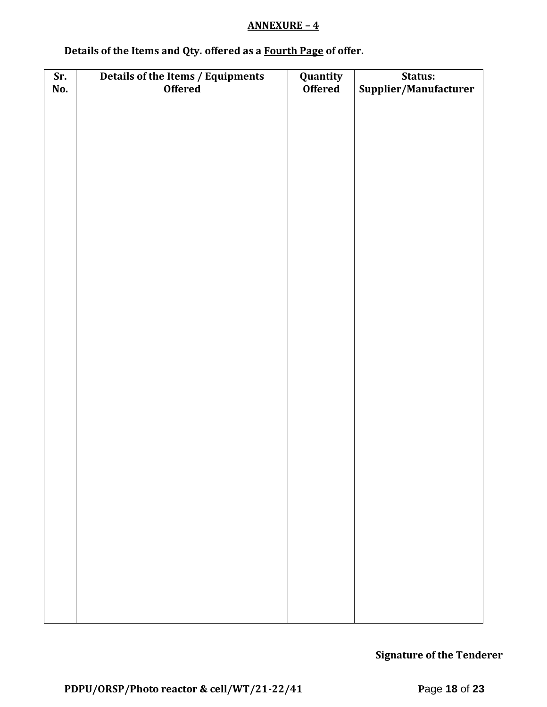## **ANNEXURE – 4**

| Details of the Items and Qty. offered as a Fourth Page of offer. |  |  |
|------------------------------------------------------------------|--|--|
|                                                                  |  |  |

| Sr. | Details of the Items / Equipments | Quantity       | Status:               |
|-----|-----------------------------------|----------------|-----------------------|
| No. | <b>Offered</b>                    | <b>Offered</b> | Supplier/Manufacturer |
|     |                                   |                |                       |
|     |                                   |                |                       |
|     |                                   |                |                       |
|     |                                   |                |                       |
|     |                                   |                |                       |
|     |                                   |                |                       |
|     |                                   |                |                       |
|     |                                   |                |                       |
|     |                                   |                |                       |
|     |                                   |                |                       |
|     |                                   |                |                       |
|     |                                   |                |                       |
|     |                                   |                |                       |
|     |                                   |                |                       |
|     |                                   |                |                       |
|     |                                   |                |                       |
|     |                                   |                |                       |
|     |                                   |                |                       |
|     |                                   |                |                       |
|     |                                   |                |                       |
|     |                                   |                |                       |
|     |                                   |                |                       |
|     |                                   |                |                       |
|     |                                   |                |                       |
|     |                                   |                |                       |
|     |                                   |                |                       |
|     |                                   |                |                       |
|     |                                   |                |                       |
|     |                                   |                |                       |
|     |                                   |                |                       |
|     |                                   |                |                       |
|     |                                   |                |                       |
|     |                                   |                |                       |
|     |                                   |                |                       |
|     |                                   |                |                       |
|     |                                   |                |                       |
|     |                                   |                |                       |
|     |                                   |                |                       |
|     |                                   |                |                       |
|     |                                   |                |                       |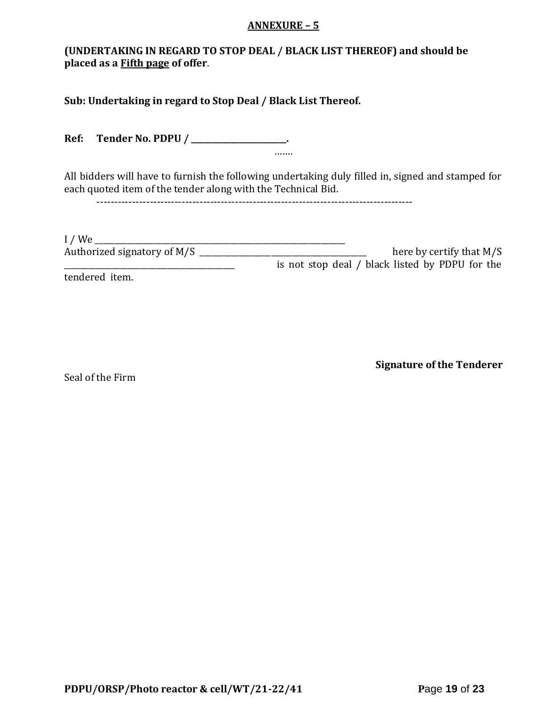#### **ANNEXURE – 5**

# **(UNDERTAKING IN REGARD TO STOP DEAL / BLACK LIST THEREOF) and should be placed as a Fifth page of offer**.

**Sub: Undertaking in regard to Stop Deal / Black List Thereof.**

**Ref: Tender No. PDPU / \_\_\_\_\_\_\_\_\_\_\_\_\_\_\_\_\_\_\_\_\_\_\_\_.** …….

All bidders will have to furnish the following undertaking duly filled in, signed and stamped for each quoted item of the tender along with the Technical Bid.

-----------------------------------------------------------------------------------------

| $I$ / We                    |                                                 |
|-----------------------------|-------------------------------------------------|
| Authorized signatory of M/S | here by certify that $M/S$                      |
|                             | is not stop deal / black listed by PDPU for the |
| tendered item.              |                                                 |

Seal of the Firm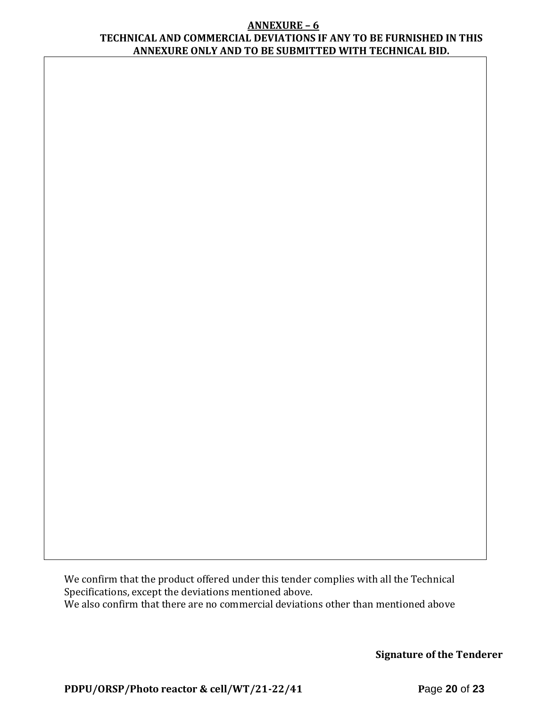#### **ANNEXURE – 6 TECHNICAL AND COMMERCIAL DEVIATIONS IF ANY TO BE FURNISHED IN THIS ANNEXURE ONLY AND TO BE SUBMITTED WITH TECHNICAL BID.**

We confirm that the product offered under this tender complies with all the Technical Specifications, except the deviations mentioned above. We also confirm that there are no commercial deviations other than mentioned above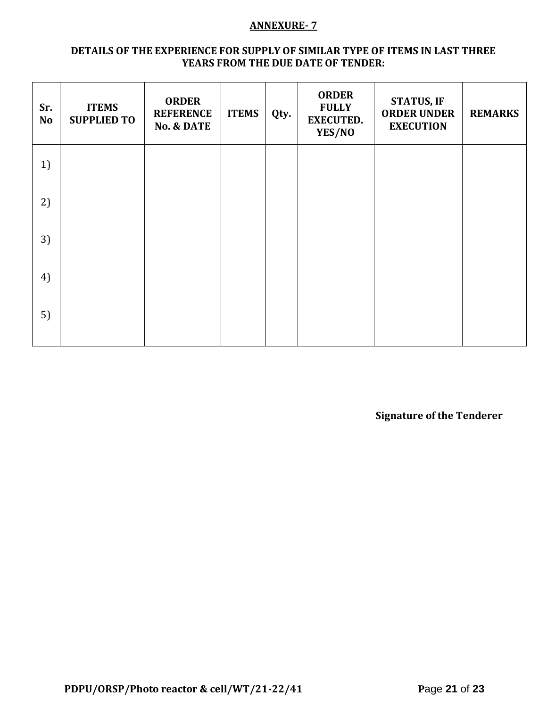#### **ANNEXURE- 7**

### **DETAILS OF THE EXPERIENCE FOR SUPPLY OF SIMILAR TYPE OF ITEMS IN LAST THREE YEARS FROM THE DUE DATE OF TENDER:**

| Sr.<br><b>No</b> | <b>ITEMS</b><br><b>SUPPLIED TO</b> | <b>ORDER</b><br><b>REFERENCE</b><br><b>No. &amp; DATE</b> | <b>ITEMS</b> | Qty. | <b>ORDER</b><br><b>FULLY</b><br><b>EXECUTED.</b><br>YES/NO | <b>STATUS, IF</b><br><b>ORDER UNDER</b><br><b>EXECUTION</b> | <b>REMARKS</b> |
|------------------|------------------------------------|-----------------------------------------------------------|--------------|------|------------------------------------------------------------|-------------------------------------------------------------|----------------|
| 1)               |                                    |                                                           |              |      |                                                            |                                                             |                |
| 2)               |                                    |                                                           |              |      |                                                            |                                                             |                |
| 3)               |                                    |                                                           |              |      |                                                            |                                                             |                |
| 4)               |                                    |                                                           |              |      |                                                            |                                                             |                |
| 5)               |                                    |                                                           |              |      |                                                            |                                                             |                |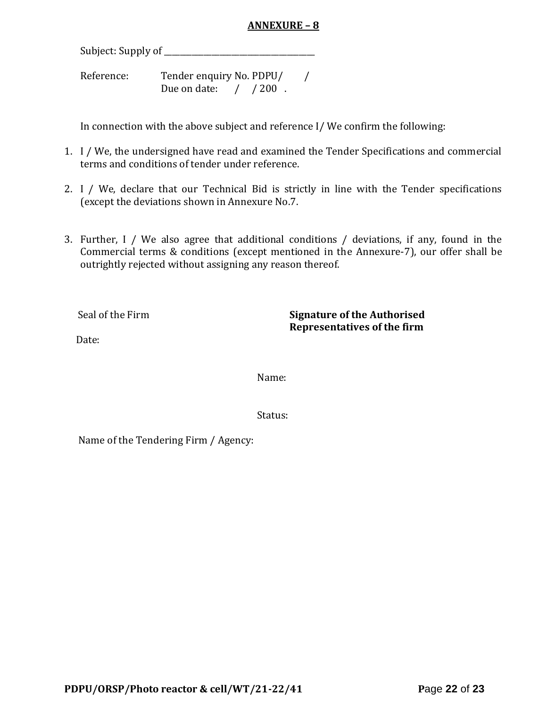## **ANNEXURE – 8**

Subject: Supply of \_\_\_\_\_\_\_\_\_\_\_\_\_\_\_\_\_\_\_\_\_\_\_\_\_\_\_\_\_\_\_\_\_\_\_\_\_\_

Reference: Tender enquiry No. PDPU/ / Due on date: / / 200.

In connection with the above subject and reference I/ We confirm the following:

- 1. I / We, the undersigned have read and examined the Tender Specifications and commercial terms and conditions of tender under reference.
- 2. I / We, declare that our Technical Bid is strictly in line with the Tender specifications (except the deviations shown in Annexure No.7.
- 3. Further, I / We also agree that additional conditions / deviations, if any, found in the Commercial terms & conditions (except mentioned in the Annexure-7), our offer shall be outrightly rejected without assigning any reason thereof.

Seal of the Firm **Signature of the Authorised Representatives of the firm**

Date:

Name:

Status:

Name of the Tendering Firm / Agency: